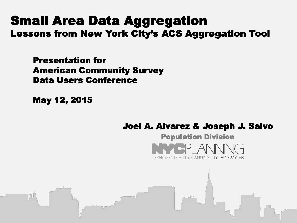# Small Area Data Aggregation Lessons from New York City's ACS Aggregation Tool

Presentation for American Community Survey Data Users Conference

May 12, 2015

### Joel A. Alvarez & Joseph J. Salvo

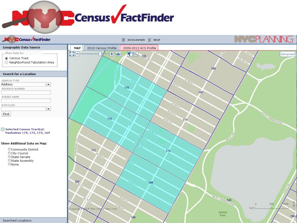

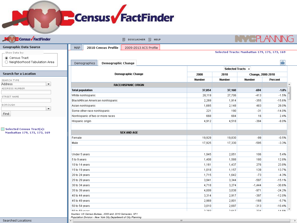# **Census FactFinder**

| <b>D</b> Census <b>FactFinder</b>                         | <b>B</b> DISCLAIMER <b>B</b> HELP                                                                                         |               |                                               |               |                        |  |
|-----------------------------------------------------------|---------------------------------------------------------------------------------------------------------------------------|---------------|-----------------------------------------------|---------------|------------------------|--|
| Geographic Data Source                                    | <b>MAP</b><br>2010 Census Profile<br>2009-2013 ACS Profile                                                                |               |                                               |               |                        |  |
| Show Data by:                                             |                                                                                                                           |               | Selected Tracts: Manhattan 179, 175, 173, 169 |               |                        |  |
| Census Tract                                              |                                                                                                                           |               |                                               |               |                        |  |
| ◯ Neighborhood Tabulation Area                            | Demographics<br>Demographic Change                                                                                        |               |                                               |               | 鲁                      |  |
|                                                           |                                                                                                                           |               | Selected Tracts +                             |               |                        |  |
| <b>Search for a Location</b>                              | <b>Demographic Change</b>                                                                                                 | 2000          | 2010                                          |               | Change, 2000-2010      |  |
| SEARCH TYPE                                               |                                                                                                                           | <b>Number</b> | <b>Number</b>                                 | <b>Number</b> | Percent                |  |
| Address<br>$\blacktriangledown$                           | <b>RACE/HISPANIC ORIGIN</b>                                                                                               |               |                                               |               |                        |  |
| ADDRESS NUMBER                                            | <b>Total population</b>                                                                                                   | 37,854        | 37,160                                        | $-694$        | $-1.8%$                |  |
| STREET NAME                                               | White nonhispanic                                                                                                         | 28,119        | 27,706                                        | $-413$        | $-1.5%$                |  |
|                                                           | Black/African American nonhispanic                                                                                        | 2,269         | 1,914                                         | $-355$        | $-15.6%$               |  |
| <b>BOROUGH</b>                                            | Asian nonhispanic                                                                                                         | 1,665         | 2,148                                         | 483           | 29.0%                  |  |
| ▼                                                         | Some other race nonhispanic                                                                                               | 221           | 190                                           | $-31$         | $-14.0%$               |  |
| Find                                                      | Nonhispanic of two or more races                                                                                          | 668           | 684                                           | 16            | 2.4%                   |  |
|                                                           | Hispanic origin                                                                                                           | 4,912         | 4,518                                         | $-394$        | $-8.0%$                |  |
|                                                           |                                                                                                                           |               |                                               |               |                        |  |
| Selected Census Tract(s):<br>Manhattan 179, 175, 173, 169 | <b>SEX AND AGE</b>                                                                                                        |               |                                               |               |                        |  |
|                                                           | Female                                                                                                                    | 19,929        | 19,830                                        | -99           | $-0.5%$                |  |
|                                                           | Male                                                                                                                      | 17,925        | 17,330                                        | $-595$        | $-3.3%$                |  |
|                                                           |                                                                                                                           |               |                                               |               |                        |  |
|                                                           | Under 5 years                                                                                                             | 1,945         | 2,051                                         | 106           | 5.4%                   |  |
|                                                           | 5 to 9 years                                                                                                              | 1,408         | 1,588                                         | 180           | 12.8%                  |  |
|                                                           | 10 to 14 years                                                                                                            | 1,161         | 1,437                                         | 276           | 23.8%                  |  |
|                                                           | 15 to 19 years                                                                                                            | 1,018         | 1,157                                         | 139           | 13.7%                  |  |
|                                                           | 20 to 24 years                                                                                                            | 1,715         | 1,642                                         | $-73$         | $-4.3%$                |  |
|                                                           | 25 to 29 years                                                                                                            | 3,941         | 3,344                                         | $-597$        | $-15.1%$               |  |
|                                                           | 30 to 34 years                                                                                                            | 4,718         | 3,274                                         | $-1,444$      | $-30.6%$               |  |
|                                                           | 35 to 39 years                                                                                                            | 4,009         | 3,038                                         | $-971$        | $-24.2%$               |  |
|                                                           | 40 to 44 years                                                                                                            | 3,314         | 2,917                                         | $-397$        | $-12.0%$               |  |
|                                                           | 45 to 49 years                                                                                                            | 2,969         | 2,801                                         | $-168$        | $-5.7%$                |  |
|                                                           | 50 to 54 years                                                                                                            | 3,010         | 2,697                                         | $-313$        | $-10.4%$               |  |
|                                                           | <b>EE</b> to EB voore                                                                                                     | 2.202         | 2.847                                         | 0.001         | 1.4 $R$ 0.4 $\text{N}$ |  |
|                                                           | Sources: US Census Bureau, 2000 and 2010 Censuses, SF1<br>Population Division - New York City Department of City Planning |               |                                               |               |                        |  |

 $\mathbf{H}$  .

 $\lceil \cdot \rceil$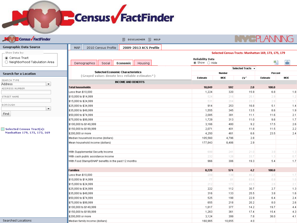

| <b>Census FactFinder</b>                                  | <b>同 DISCLAIMER Q</b> HELP                                                                  |                                                    |            |                   | NY SPLANNI                                           |            |
|-----------------------------------------------------------|---------------------------------------------------------------------------------------------|----------------------------------------------------|------------|-------------------|------------------------------------------------------|------------|
| Geographic Data Source                                    | <b>MAP</b><br>2010 Census Profile<br>2009-2013 ACS Profile                                  |                                                    |            |                   |                                                      |            |
| Show Data by:                                             |                                                                                             |                                                    |            |                   | Selected Census Tracts: Manhattan 169, 173, 175, 179 |            |
| ◉ Census Tract<br>$\bigcirc$ Neighborhood Tabulation Area | Social<br><b>Demographics</b><br>Economic<br>Housing                                        | <b>Reliability Data</b><br>鲁<br>휌<br>◉ Show ○ Hide |            |                   |                                                      |            |
|                                                           |                                                                                             |                                                    |            | Selected Tracts + |                                                      |            |
| <b>Search for a Location</b>                              | <b>Selected Economic Characteristics</b><br>(Grayed values denote less reliable estimates*) | Number                                             |            |                   | Percent                                              |            |
| SEARCH TYPE                                               |                                                                                             | <b>Estimate</b>                                    | MOE        | CV <sup>*</sup>   | Estimate                                             | <b>MOE</b> |
| $\blacktriangledown$<br>Address                           | <b>INCOME AND BENEFITS</b>                                                                  |                                                    |            |                   |                                                      |            |
| ADDRESS NUMBER                                            | <b>Total households</b>                                                                     | 18,049                                             | 592        | 2.0               | 100.0                                                |            |
|                                                           | Less than \$10,000                                                                          | 1,224                                              | 320        | 15.9              | $6.8\,$                                              | 1.8        |
| STREET NAME                                               | \$10,000 to \$14,999                                                                        | 524                                                | 216        | 25.1              | 2.9                                                  | 1.2        |
| <b>BOROUGH</b>                                            | \$15,000 to \$24,999                                                                        | 531                                                | 204        | 23.3              | 2.9                                                  | 1.1        |
| $\blacktriangledown$                                      | \$25,000 to \$34,999                                                                        | 914                                                | 253        | 16.8              | 5.1                                                  | 1.4        |
| Find                                                      | \$35,000 to \$49,999                                                                        | 1,555                                              | 345        | 13.5              | 8.6                                                  | 1.9        |
|                                                           | \$50,000 to \$74,999                                                                        | 2,085                                              | 381<br>313 | 11.1<br>11.0      | 11.6<br>9.6                                          | 2.1<br>1.7 |
|                                                           | \$75,000 to \$99,999<br>\$100,000 to \$149,999                                              | 1,729<br>3,166                                     | 480        | 9.2               | 17.5                                                 | 2.6        |
| $\Box$ Selected Census Tract(s):                          | \$150,000 to \$199,999                                                                      | 2,071                                              | 401        | 11.8              | 11.5                                                 | 2.2        |
| Manhattan 179, 175, 173, 169                              | \$200,000 or more                                                                           | 4,250                                              | 461        | 6.6               | 23.5                                                 | 2.4        |
|                                                           | Median household income (dollars)                                                           | 105,560                                            | 4,796      | 2.8               |                                                      |            |
|                                                           | Mean household income (dollars)                                                             | 177,843                                            | 8,486      | 2.9               |                                                      |            |
|                                                           |                                                                                             |                                                    |            |                   |                                                      |            |
|                                                           | With Supplemental Security Income                                                           | 699                                                | 241        | 21.0              | 3.9 <sub>1</sub>                                     | 1.3        |
|                                                           | With cash public assistance income                                                          | 232                                                | 128        | 33.7              | 1.3                                                  | 0.7        |
|                                                           | With Food Stamp/SNAP benefits in the past 12 months                                         | 966                                                | 306        | 19.3              | 5.4                                                  | 1.7        |
|                                                           |                                                                                             |                                                    |            |                   |                                                      |            |
|                                                           | Families                                                                                    | 8,220                                              | 574        | 4.2               | 100.0                                                |            |
|                                                           | Less than \$10,000                                                                          | 209                                                | 138        | 40.2              | 2.5                                                  | 1.7        |
|                                                           | \$10,000 to \$14,999                                                                        | 77                                                 | 81         | 63.6              | 0.9                                                  | 1.0        |
|                                                           | \$15,000 to \$24,999                                                                        | 212                                                | 173        | 49.5              | 2.6                                                  | 2.1        |
|                                                           | \$25,000 to \$34,999                                                                        | 222                                                | 112        | 30.7              | 2.7                                                  | 1.3        |
|                                                           | \$35,000 to \$49,999                                                                        | 316                                                | 133        | 25.5              | 3.8                                                  | 1.6        |
|                                                           | \$50,000 to \$74,999                                                                        | 525                                                | 198        | 22.9              | 6.4                                                  | 2.4        |
|                                                           | \$75,000 to \$99,999                                                                        | 655                                                | 218        | 20.2              | 8.0                                                  | 2.6        |
|                                                           | \$100,000 to \$149,999                                                                      | 1,617                                              | 377        | 14.2              | 19.7                                                 | 4.4        |
|                                                           | \$150,000 to \$199,999                                                                      | 1,263                                              | 361        | 17.4              | 15.4                                                 | 4.3        |
|                                                           | \$200,000 or more                                                                           | 3,124                                              | 399        | 7.8               | 38.0                                                 | 4.1        |
| Searched Locations                                        | Median family income (dollars)                                                              | 160,965                                            | 10,655     | 4.0               |                                                      |            |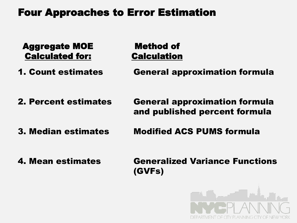# Four Approaches to Error Estimation

Aggregate MOE Calculated for:

Method of **Calculation** 

1. Count estimates

General approximation formula

2. Percent estimates

General approximation formula and published percent formula

3. Median estimates

Modified ACS PUMS formula

4. Mean estimates

Generalized Variance Functions (GVFs)

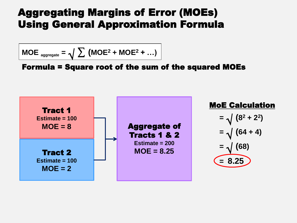# Aggregating Margins of Error (MOEs) Using General Approximation Formula

$$
MOE_{\text{ aggregate}} = \sqrt{\sum (MOE^2 + MOE^2 + ...)}
$$

Formula = Square root of the sum of the squared MOEs

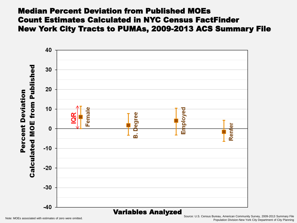#### Median Percent Deviation from Published MOEs Count Estimates Calculated in NYC Census FactFinder New York City Tracts to PUMAs, 2009-2013 ACS Summary File



Note: MOEs associated with estimates of zero were omitted. Source: U.S. Census Bureau, American Community Survey, 2009-2013 Summary File Population Division-New York City Department of City Planning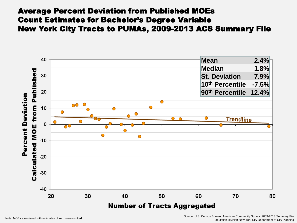#### Average Percent Deviation from Published MOEs Count Estimates for Bachelor's Degree Variable New York City Tracts to PUMAs, 2009-2013 ACS Summary File

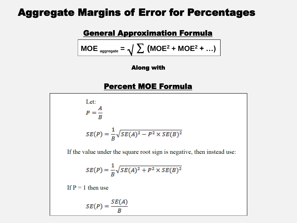### Aggregate Margins of Error for Percentages

#### General Approximation Formula

$$
MOE_{\text{aggregate}} = \sqrt{\sum (MOE^2 + MOE^2 + ...)}
$$

#### Along with

#### Percent MOE Formula

| Let:                                                            |
|-----------------------------------------------------------------|
|                                                                 |
|                                                                 |
|                                                                 |
| $SE(P) = \frac{1}{B} \sqrt{SE(A)^{2} - P^{2} \times SE(B)^{2}}$ |
|                                                                 |

If the value under the square root sign is negative, then instead use:

$$
SE(P) = \frac{1}{B}\sqrt{SE(A)^2 + P^2 \times SE(B)^2}
$$

If  $P = 1$  then use

$$
SE(P) = \frac{SE(A)}{B}
$$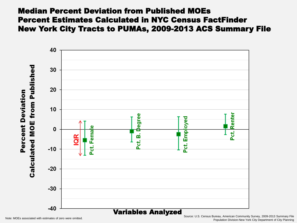#### Median Percent Deviation from Published MOEs Percent Estimates Calculated in NYC Census FactFinder New York City Tracts to PUMAs, 2009-2013 ACS Summary File



Note: MOEs associated with estimates of zero were omitted. Source: U.S. Census Bureau, American Community Survey, 2009-2013 Summary File Population Division-New York City Department of City Planning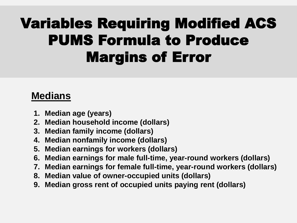# Variables Requiring Modified ACS PUMS Formula to Produce Margins of Error

# **Medians**

- **1. Median age (years)**
- **2. Median household income (dollars)**
- **3. Median family income (dollars)**
- **4. Median nonfamily income (dollars)**
- **5. Median earnings for workers (dollars)**
- **6. Median earnings for male full-time, year-round workers (dollars)**
- **7. Median earnings for female full-time, year-round workers (dollars)**
- **8. Median value of owner-occupied units (dollars)**
- **9. Median gross rent of occupied units paying rent (dollars)**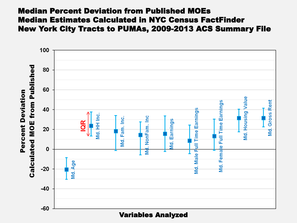#### Median Percent Deviation from Published MOEs Median Estimates Calculated in NYC Census FactFinder New York City Tracts to PUMAs, 2009-2013 ACS Summary File

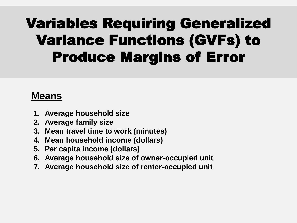# Variables Requiring Generalized Variance Functions (GVFs) to Produce Margins of Error

## **Means**

- **1. Average household size**
- **2. Average family size**
- **3. Mean travel time to work (minutes)**
- **4. Mean household income (dollars)**
- **5. Per capita income (dollars)**
- **6. Average household size of owner-occupied unit**
- **7. Average household size of renter-occupied unit**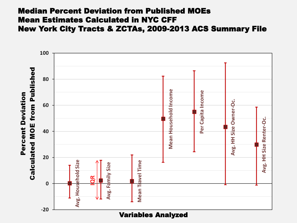#### Median Percent Deviation from Published MOEs Mean Estimates Calculated in NYC CFF New York City Tracts & ZCTAs, 2009-2013 ACS Summary File

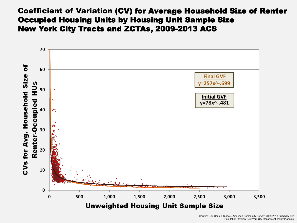#### Coefficient of Variation (CV) for Average Household Size of Renter Occupied Housing Units by Housing Unit Sample Size New York City Tracts and ZCTAs, 2009-2013 ACS

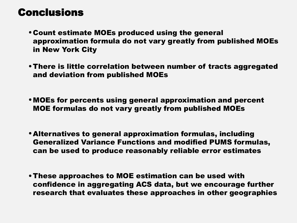## Conclusions

- Count estimate MOEs produced using the general approximation formula do not vary greatly from published MOEs in New York City
- There is little correlation between number of tracts aggregated and deviation from published MOEs
- MOEs for percents using general approximation and percent MOE formulas do not vary greatly from published MOEs
- Alternatives to general approximation formulas, including Generalized Variance Functions and modified PUMS formulas, can be used to produce reasonably reliable error estimates
- These approaches to MOE estimation can be used with confidence in aggregating ACS data, but we encourage further research that evaluates these approaches in other geographies